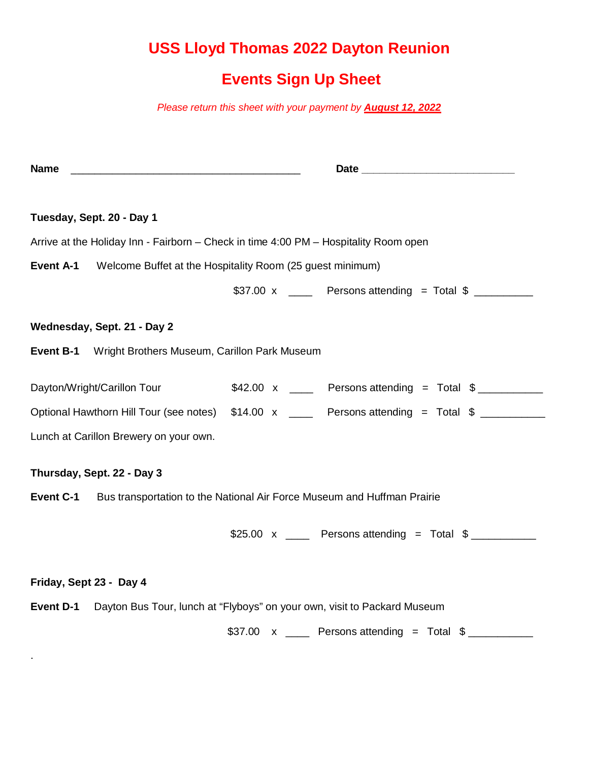## **USS Lloyd Thomas 2022 Dayton Reunion**

## **Events Sign Up Sheet**

*Please return this sheet with your payment by August 12, 2022*

| <b>Name</b>                                                                              |  |                                                                                            |  |  |  |
|------------------------------------------------------------------------------------------|--|--------------------------------------------------------------------------------------------|--|--|--|
|                                                                                          |  |                                                                                            |  |  |  |
| Tuesday, Sept. 20 - Day 1                                                                |  |                                                                                            |  |  |  |
| Arrive at the Holiday Inn - Fairborn – Check in time 4:00 PM – Hospitality Room open     |  |                                                                                            |  |  |  |
| <b>Event A-1</b> Welcome Buffet at the Hospitality Room (25 guest minimum)               |  |                                                                                            |  |  |  |
|                                                                                          |  | \$37.00 x _____ Persons attending = Total $\frac{1}{2}$ _________                          |  |  |  |
| Wednesday, Sept. 21 - Day 2                                                              |  |                                                                                            |  |  |  |
| Event B-1 Wright Brothers Museum, Carillon Park Museum                                   |  |                                                                                            |  |  |  |
| Dayton/Wright/Carillon Tour                                                              |  | $$42.00 \times$ Persons attending = Total $$$                                              |  |  |  |
|                                                                                          |  | Optional Hawthorn Hill Tour (see notes) \$14.00 x ____ Persons attending = Total \$ ______ |  |  |  |
| Lunch at Carillon Brewery on your own.                                                   |  |                                                                                            |  |  |  |
| Thursday, Sept. 22 - Day 3                                                               |  |                                                                                            |  |  |  |
| <b>Event C-1</b> Bus transportation to the National Air Force Museum and Huffman Prairie |  |                                                                                            |  |  |  |
|                                                                                          |  | $$25.00 \times$ Persons attending = Total $$$                                              |  |  |  |
| Friday, Sept 23 - Day 4                                                                  |  |                                                                                            |  |  |  |
| Event D-1 Dayton Bus Tour, lunch at "Flyboys" on your own, visit to Packard Museum       |  |                                                                                            |  |  |  |
|                                                                                          |  | $$37.00 \times$ _____ Persons attending = Total $$$ __________                             |  |  |  |

.